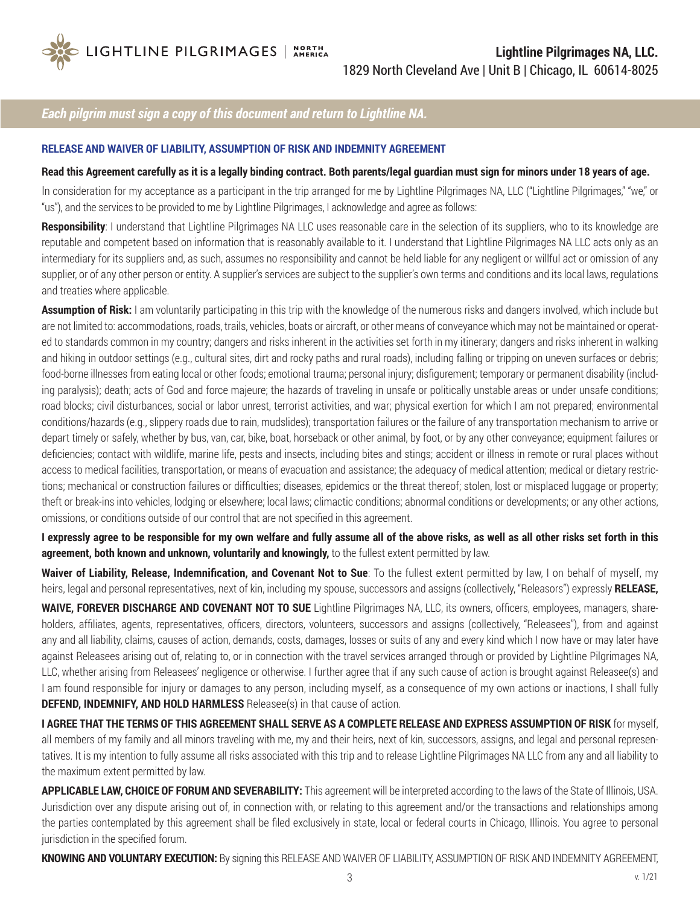

## *Each pilgrim must sign a copy of this document and return to Lightline NA.*

## **RELEASE AND WAIVER OF LIABILITY, ASSUMPTION OF RISK AND INDEMNITY AGREEMENT**

## **Read this Agreement carefully as it is a legally binding contract. Both parents/legal guardian must sign for minors under 18 years of age.**

In consideration for my acceptance as a participant in the trip arranged for me by Lightline Pilgrimages NA, LLC ("Lightline Pilgrimages," "we," or "us"), and the services to be provided to me by Lightline Pilgrimages, I acknowledge and agree as follows:

Responsibility: I understand that Lightline Pilgrimages NA LLC uses reasonable care in the selection of its suppliers, who to its knowledge are reputable and competent based on information that is reasonably available to it. I understand that Lightline Pilgrimages NA LLC acts only as an intermediary for its suppliers and, as such, assumes no responsibility and cannot be held liable for any negligent or willful act or omission of any supplier, or of any other person or entity. A supplier's services are subject to the supplier's own terms and conditions and its local laws, regulations and treaties where applicable.

**Assumption of Risk:** I am voluntarily participating in this trip with the knowledge of the numerous risks and dangers involved, which include but are not limited to: accommodations, roads, trails, vehicles, boats or aircraft, or other means of conveyance which may not be maintained or operated to standards common in my country; dangers and risks inherent in the activities set forth in my itinerary; dangers and risks inherent in walking and hiking in outdoor settings (e.g., cultural sites, dirt and rocky paths and rural roads), including falling or tripping on uneven surfaces or debris; food-borne illnesses from eating local or other foods; emotional trauma; personal injury; disfigurement; temporary or permanent disability (including paralysis); death; acts of God and force majeure; the hazards of traveling in unsafe or politically unstable areas or under unsafe conditions; road blocks; civil disturbances, social or labor unrest, terrorist activities, and war; physical exertion for which I am not prepared; environmental conditions/hazards (e.g., slippery roads due to rain, mudslides); transportation failures or the failure of any transportation mechanism to arrive or depart timely or safely, whether by bus, van, car, bike, boat, horseback or other animal, by foot, or by any other conveyance; equipment failures or deficiencies; contact with wildlife, marine life, pests and insects, including bites and stings; accident or illness in remote or rural places without access to medical facilities, transportation, or means of evacuation and assistance; the adequacy of medical attention; medical or dietary restrictions; mechanical or construction failures or difficulties; diseases, epidemics or the threat thereof; stolen, lost or misplaced luggage or property; theft or break-ins into vehicles, lodging or elsewhere; local laws; climactic conditions; abnormal conditions or developments; or any other actions, omissions, or conditions outside of our control that are not specified in this agreement.

**I expressly agree to be responsible for my own welfare and fully assume all of the above risks, as well as all other risks set forth in this agreement, both known and unknown, voluntarily and knowingly,** to the fullest extent permitted by law.

**Waiver of Liability, Release, Indemnification, and Covenant Not to Sue**: To the fullest extent permitted by law, I on behalf of myself, my heirs, legal and personal representatives, next of kin, including my spouse, successors and assigns (collectively, "Releasors") expressly **RELEASE,** 

**WAIVE, FOREVER DISCHARGE AND COVENANT NOT TO SUE** Lightline Pilgrimages NA, LLC, its owners, officers, employees, managers, shareholders, affiliates, agents, representatives, officers, directors, volunteers, successors and assigns (collectively, "Releasees"), from and against any and all liability, claims, causes of action, demands, costs, damages, losses or suits of any and every kind which I now have or may later have against Releasees arising out of, relating to, or in connection with the travel services arranged through or provided by Lightline Pilgrimages NA, LLC, whether arising from Releasees' negligence or otherwise. I further agree that if any such cause of action is brought against Releasee(s) and I am found responsible for injury or damages to any person, including myself, as a consequence of my own actions or inactions, I shall fully **DEFEND, INDEMNIFY, AND HOLD HARMLESS** Releasee(s) in that cause of action.

**I AGREE THAT THE TERMS OF THIS AGREEMENT SHALL SERVE AS A COMPLETE RELEASE AND EXPRESS ASSUMPTION OF RISK** for myself, all members of my family and all minors traveling with me, my and their heirs, next of kin, successors, assigns, and legal and personal representatives. It is my intention to fully assume all risks associated with this trip and to release Lightline Pilgrimages NA LLC from any and all liability to the maximum extent permitted by law.

**APPLICABLE LAW, CHOICE OF FORUM AND SEVERABILITY:** This agreement will be interpreted according to the laws of the State of Illinois, USA. Jurisdiction over any dispute arising out of, in connection with, or relating to this agreement and/or the transactions and relationships among the parties contemplated by this agreement shall be filed exclusively in state, local or federal courts in Chicago, Illinois. You agree to personal jurisdiction in the specified forum.

**KNOWING AND VOLUNTARY EXECUTION:** By signing this RELEASE AND WAIVER OF LIABILITY, ASSUMPTION OF RISK AND INDEMNITY AGREEMENT,